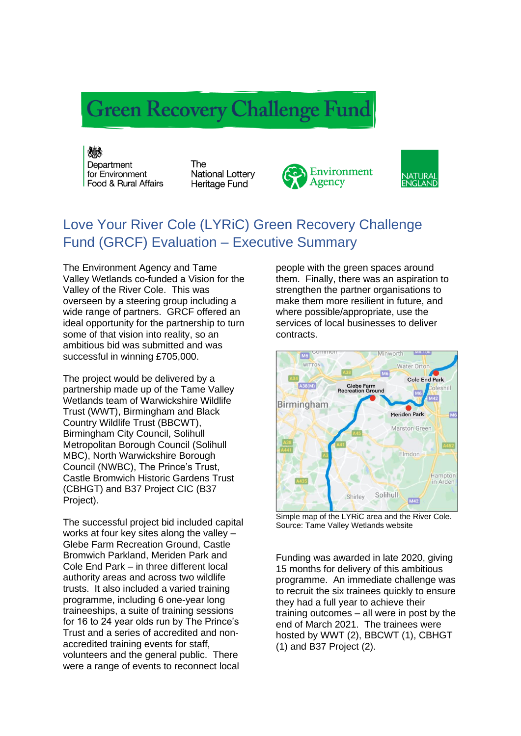## **Green Recovery Challenge Fund**

《 大学 Department for Environment Food & Rural Affairs

The **National Lottery** Heritage Fund





## Love Your River Cole (LYRiC) Green Recovery Challenge Fund (GRCF) Evaluation – Executive Summary

The Environment Agency and Tame Valley Wetlands co-funded a Vision for the Valley of the River Cole. This was overseen by a steering group including a wide range of partners. GRCF offered an ideal opportunity for the partnership to turn some of that vision into reality, so an ambitious bid was submitted and was successful in winning £705,000.

The project would be delivered by a partnership made up of the Tame Valley Wetlands team of Warwickshire Wildlife Trust (WWT), Birmingham and Black Country Wildlife Trust (BBCWT), Birmingham City Council, Solihull Metropolitan Borough Council (Solihull MBC), North Warwickshire Borough Council (NWBC), The Prince's Trust, Castle Bromwich Historic Gardens Trust (CBHGT) and B37 Project CIC (B37 Project).

The successful project bid included capital works at four key sites along the valley – Glebe Farm Recreation Ground, Castle Bromwich Parkland, Meriden Park and Cole End Park – in three different local authority areas and across two wildlife trusts. It also included a varied training programme, including 6 one-year long traineeships, a suite of training sessions for 16 to 24 year olds run by The Prince's Trust and a series of accredited and nonaccredited training events for staff, volunteers and the general public. There were a range of events to reconnect local

people with the green spaces around them. Finally, there was an aspiration to strengthen the partner organisations to make them more resilient in future, and where possible/appropriate, use the services of local businesses to deliver contracts.



Simple map of the LYRiC area and the River Cole. Source: Tame Valley Wetlands website

Funding was awarded in late 2020, giving 15 months for delivery of this ambitious programme. An immediate challenge was to recruit the six trainees quickly to ensure they had a full year to achieve their training outcomes – all were in post by the end of March 2021. The trainees were hosted by WWT (2), BBCWT (1), CBHGT (1) and B37 Project (2).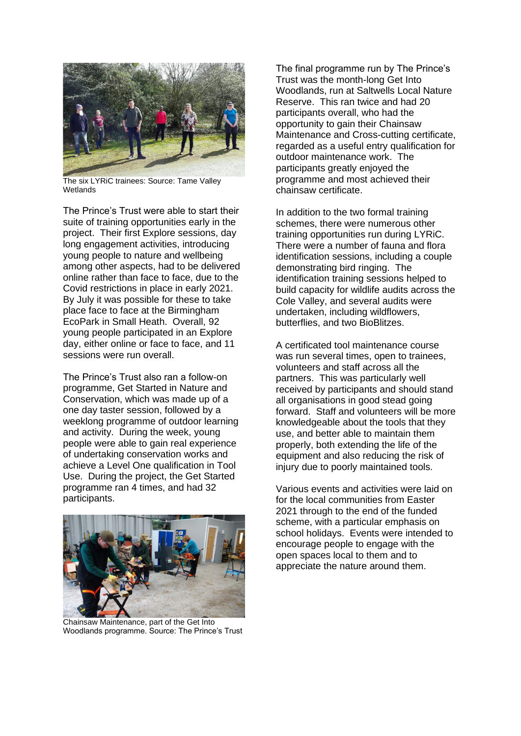

The six LYRiC trainees: Source: Tame Valley Wetlands

The Prince's Trust were able to start their suite of training opportunities early in the project. Their first Explore sessions, day long engagement activities, introducing young people to nature and wellbeing among other aspects, had to be delivered online rather than face to face, due to the Covid restrictions in place in early 2021. By July it was possible for these to take place face to face at the Birmingham EcoPark in Small Heath. Overall, 92 young people participated in an Explore day, either online or face to face, and 11 sessions were run overall.

The Prince's Trust also ran a follow-on programme, Get Started in Nature and Conservation, which was made up of a one day taster session, followed by a weeklong programme of outdoor learning and activity. During the week, young people were able to gain real experience of undertaking conservation works and achieve a Level One qualification in Tool Use. During the project, the Get Started programme ran 4 times, and had 32 participants.



Chainsaw Maintenance, part of the Get Into Woodlands programme. Source: The Prince's Trust

The final programme run by The Prince's Trust was the month-long Get Into Woodlands, run at Saltwells Local Nature Reserve. This ran twice and had 20 participants overall, who had the opportunity to gain their Chainsaw Maintenance and Cross-cutting certificate, regarded as a useful entry qualification for outdoor maintenance work. The participants greatly enjoyed the programme and most achieved their chainsaw certificate.

In addition to the two formal training schemes, there were numerous other training opportunities run during LYRiC. There were a number of fauna and flora identification sessions, including a couple demonstrating bird ringing. The identification training sessions helped to build capacity for wildlife audits across the Cole Valley, and several audits were undertaken, including wildflowers, butterflies, and two BioBlitzes.

A certificated tool maintenance course was run several times, open to trainees, volunteers and staff across all the partners. This was particularly well received by participants and should stand all organisations in good stead going forward. Staff and volunteers will be more knowledgeable about the tools that they use, and better able to maintain them properly, both extending the life of the equipment and also reducing the risk of injury due to poorly maintained tools.

Various events and activities were laid on for the local communities from Easter 2021 through to the end of the funded scheme, with a particular emphasis on school holidays. Events were intended to encourage people to engage with the open spaces local to them and to appreciate the nature around them.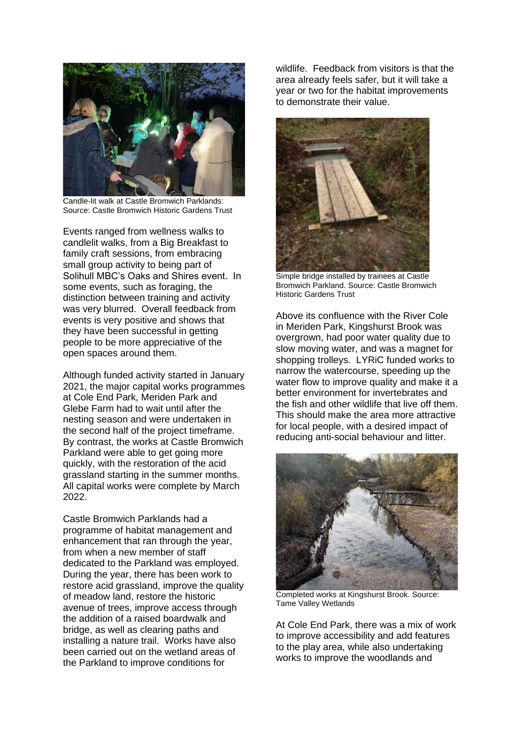

Candle-lit walk at Castle Bromwich Parklands: Source: Castle Bromwich Historic Gardens Trust

Events ranged from wellness walks to candlelit walks, from a Big Breakfast to family craft sessions, from embracing small group activity to being part of Solihull MBC's Oaks and Shires event. In some events, such as foraging, the distinction between training and activity was very blurred. Overall feedback from events is very positive and shows that they have been successful in getting people to be more appreciative of the open spaces around them.

Although funded activity started in January 2021, the major capital works programmes at Cole End Park, Meriden Park and Glebe Farm had to wait until after the nesting season and were undertaken in the second half of the project timeframe. By contrast, the works at Castle Bromwich Parkland were able to get going more quickly, with the restoration of the acid grassland starting in the summer months. All capital works were complete by March 2022

Castle Bromwich Parklands had a programme of habitat management and enhancement that ran through the year, from when a new member of staff dedicated to the Parkland was employed. During the year, there has been work to restore acid grassland, improve the quality of meadow land, restore the historic avenue of trees, improve access through the addition of a raised boardwalk and bridge, as well as clearing paths and installing a nature trail. Works have also been carried out on the wetland areas of the Parkland to improve conditions for

wildlife. Feedback from visitors is that the area already feels safer, but it will take a year or two for the habitat improvements to demonstrate their value.



Simple bridge installed by trainees at Castle Bromwich Parkland. Source: Castle Bromwich Historic Gardens Trust

Above its confluence with the River Cole in Meriden Park, Kingshurst Brook was overgrown, had poor water quality due to slow moving water, and was a magnet for shopping trolleys. LYRiC funded works to narrow the watercourse, speeding up the water flow to improve quality and make it a better environment for invertebrates and the fish and other wildlife that live off them. This should make the area more attractive for local people, with a desired impact of reducing anti-social behaviour and litter.



Completed works at Kingshurst Brook. Source: Tame Valley Wetlands

At Cole End Park, there was a mix of work to improve accessibility and add features to the play area, while also undertaking works to improve the woodlands and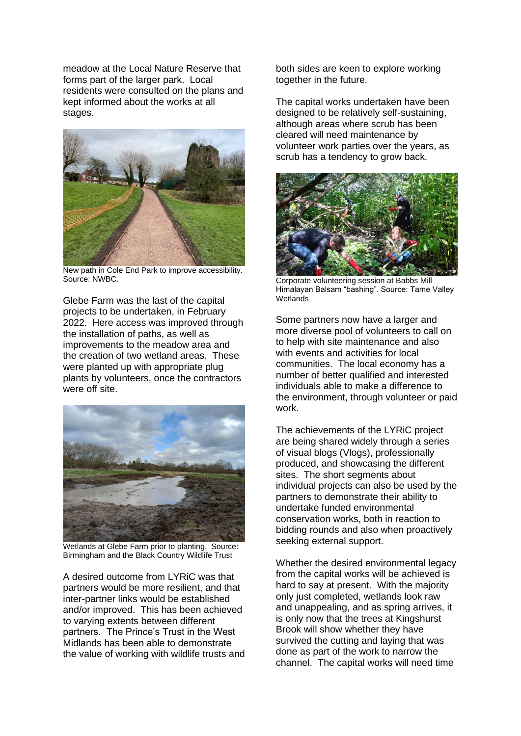meadow at the Local Nature Reserve that forms part of the larger park. Local residents were consulted on the plans and kept informed about the works at all stages.



New path in Cole End Park to improve accessibility. Source: NWBC.

Glebe Farm was the last of the capital projects to be undertaken, in February 2022. Here access was improved through the installation of paths, as well as improvements to the meadow area and the creation of two wetland areas. These were planted up with appropriate plug plants by volunteers, once the contractors were off site.



Wetlands at Glebe Farm prior to planting. Source: Birmingham and the Black Country Wildlife Trust

A desired outcome from LYRiC was that partners would be more resilient, and that inter-partner links would be established and/or improved. This has been achieved to varying extents between different partners. The Prince's Trust in the West Midlands has been able to demonstrate the value of working with wildlife trusts and both sides are keen to explore working together in the future.

The capital works undertaken have been designed to be relatively self-sustaining, although areas where scrub has been cleared will need maintenance by volunteer work parties over the years, as scrub has a tendency to grow back.



Corporate volunteering session at Babbs Mill Himalayan Balsam "bashing". Source: Tame Valley **Wetlands** 

Some partners now have a larger and more diverse pool of volunteers to call on to help with site maintenance and also with events and activities for local communities. The local economy has a number of better qualified and interested individuals able to make a difference to the environment, through volunteer or paid work.

The achievements of the LYRiC project are being shared widely through a series of visual blogs (Vlogs), professionally produced, and showcasing the different sites. The short segments about individual projects can also be used by the partners to demonstrate their ability to undertake funded environmental conservation works, both in reaction to bidding rounds and also when proactively seeking external support.

Whether the desired environmental legacy from the capital works will be achieved is hard to say at present. With the majority only just completed, wetlands look raw and unappealing, and as spring arrives, it is only now that the trees at Kingshurst Brook will show whether they have survived the cutting and laying that was done as part of the work to narrow the channel. The capital works will need time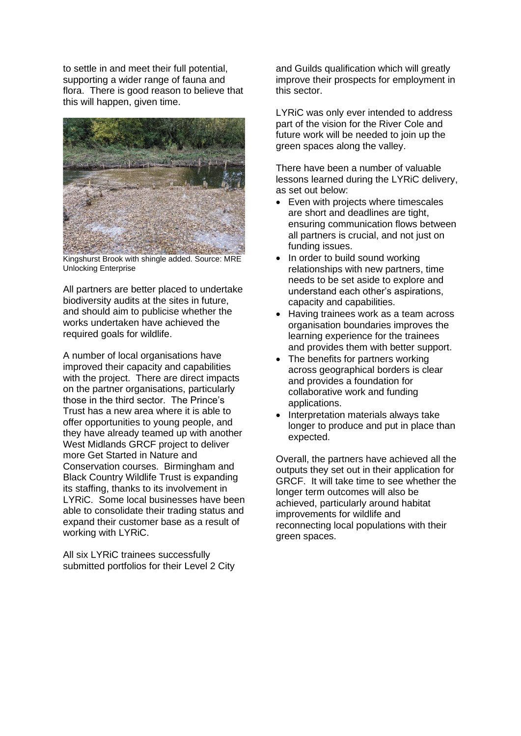to settle in and meet their full potential, supporting a wider range of fauna and flora. There is good reason to believe that this will happen, given time.



Kingshurst Brook with shingle added. Source: MRE Unlocking Enterprise

All partners are better placed to undertake biodiversity audits at the sites in future, and should aim to publicise whether the works undertaken have achieved the required goals for wildlife.

A number of local organisations have improved their capacity and capabilities with the project. There are direct impacts on the partner organisations, particularly those in the third sector. The Prince's Trust has a new area where it is able to offer opportunities to young people, and they have already teamed up with another West Midlands GRCF project to deliver more Get Started in Nature and Conservation courses. Birmingham and Black Country Wildlife Trust is expanding its staffing, thanks to its involvement in LYRiC. Some local businesses have been able to consolidate their trading status and expand their customer base as a result of working with LYRiC.

All six LYRiC trainees successfully submitted portfolios for their Level 2 City and Guilds qualification which will greatly improve their prospects for employment in this sector.

LYRiC was only ever intended to address part of the vision for the River Cole and future work will be needed to join up the green spaces along the valley.

There have been a number of valuable lessons learned during the LYRiC delivery, as set out below:

- Even with projects where timescales are short and deadlines are tight, ensuring communication flows between all partners is crucial, and not just on funding issues.
- In order to build sound working relationships with new partners, time needs to be set aside to explore and understand each other's aspirations, capacity and capabilities.
- Having trainees work as a team across organisation boundaries improves the learning experience for the trainees and provides them with better support.
- The benefits for partners working across geographical borders is clear and provides a foundation for collaborative work and funding applications.
- Interpretation materials always take longer to produce and put in place than expected.

Overall, the partners have achieved all the outputs they set out in their application for GRCF. It will take time to see whether the longer term outcomes will also be achieved, particularly around habitat improvements for wildlife and reconnecting local populations with their green spaces.